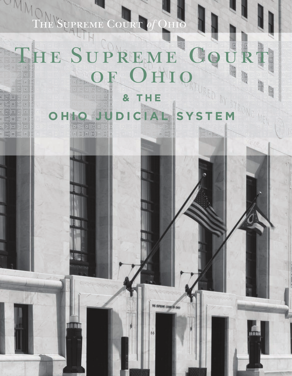THE SUPREME COURT

 $\overline{\Box}$ 

 $\Box$ 

回

 $\boxed{\square}$ 

minn

<u>oeloi</u>

delor

deloie

# THE SUPREME COUR **SOF OHIO** 靣 e Frie ile<br>Ve ù. 証 **FREEDEL &** <u>||or||or||or||d</u> OH<mark>IO JULI</mark> DICIAL SYSTEM oe|oe|o <u>oeloelo</u> <u>oeloeloi</u>

RE SUFREAM COUNT OF CHOO

66

**ie dist** 

im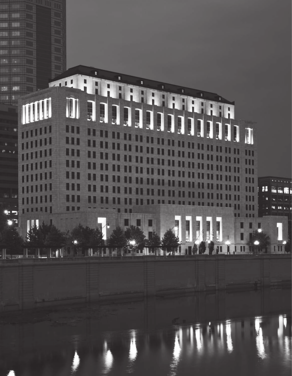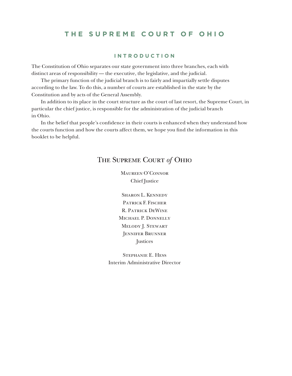# **THE SUPREME COURT OF OHIO**

# **INTRODUCTION**

The Constitution of Ohio separates our state government into three branches, each with distinct areas of responsibility — the executive, the legislative, and the judicial.

The primary function of the judicial branch is to fairly and impartially settle disputes according to the law. To do this, a number of courts are established in the state by the Constitution and by acts of the General Assembly.

In addition to its place in the court structure as the court of last resort, the Supreme Court, in particular the chief justice, is responsible for the administration of the judicial branch in Ohio.

In the belief that people's confidence in their courts is enhanced when they understand how the courts function and how the courts affect them, we hope you find the information in this booklet to be helpful.

# THE SUPREME COURT of OHIO

Maureen O'Connor Chief Justice

Sharon L. Kennedy Patrick F. Fischer R. Patrick DeWine Michael P. Donnelly MELODY J. STEWART Jennifer Brunner **Lustices** 

Stephanie E. Hess Interim Administrative Director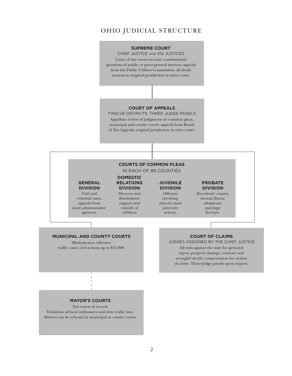# OHIO JUDICIAL STRUCTURE

#### **SUPREME COURT**

CHIEF JUSTICE and SIX JUSTICES

Court of last resort on state constitutional questions of public or great general interest; appeals from the Public Utilities Commission, all death sentences; original jurisdiction in select cases.

#### **COURT OF APPEALS**

TWELVE DISTRICTS, THREE-JUDGE PANELS

Appellate review of judgments of common pleas, municipal and county courts; appeals from Board of Tax Appeals; original jurisdiction in select cases.

# **COURTS OF COMMON PLEAS**

IN EACH OF 88 COUNTIES

#### **GENERAL DIVISION**

Civil and criminal cases; appeals from most administrative agencies.

#### **RELATIONS DIVISION** Divorces and

**DOMESTIC**

dissolutions; support and custody of children

#### **JUVENILE DIVISION**

Offenses involving minors; most paternity actions.

#### **PROBATE DIVISION**

Decedents' estates; mental illness; adoptions; marriage licenses.

#### **MUNICIPAL AND COUNTY COURTS**

Misdemeanor offenses; traffic cases; civil actions up to \$15,000.

# **COURT OF CLAIMS**

JUDGES ASSIGNED BY THE CHIEF JUSTICE

All suits against the state for personal injury, property damage, contract and wrongful death; compensation for victims of crime. Three-judge panels upon request.

# **MAYOR'S COURTS**

Not courts of record. Violations of local ordinances and state traffic laws. Matters can be reheard in municipal or county courts.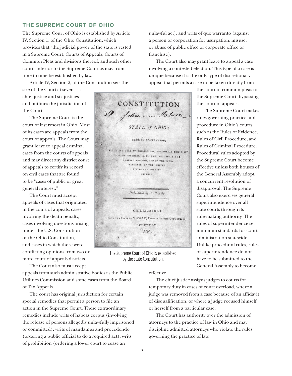#### **THE SUPREME COURT OF OHIO**

The Supreme Court of Ohio is established by Article IV, Section 1, of the Ohio Constitution, which provides that "the judicial power of the state is vested in a Supreme Court, Courts of Appeals, Courts of Common Pleas and divisions thereof, and such other courts inferior to the Supreme Court as may from time to time be established by law."

Article IV, Section 2, of the Constitution sets the

size of the Court at seven — a chief justice and six justices and outlines the jurisdiction of the Court.

The Supreme Court is the court of last resort in Ohio. Most of its cases are appeals from the court of appeals. The Court may grant leave to appeal criminal cases from the courts of appeals and may direct any district court of appeals to certify its record on civil cases that are found to be "cases of public or great general interest."

The Court must accept appeals of cases that originated in the court of appeals, cases involving the death penalty, cases involving questions arising under the U.S. Constitution or the Ohio Constitution, and cases in which there were conflicting opinions from two or more court of appeals districts.

The Court also must accept

appeals from such administrative bodies as the Public Utilities Commission and some cases from the Board of Tax Appeals.

The court has original jurisdiction for certain special remedies that permit a person to file an action in the Supreme Court. These extraordinary remedies include writs of habeas corpus (involving the release of persons allegedly unlawfully imprisoned or committed), writs of mandamus and procedendo (ordering a public official to do a required act), writs of prohibition (ordering a lower court to cease an

unlawful act), and writs of quo warranto (against a person or corporation for usurpation, misuse, or abuse of public office or corporate office or franchise).

The Court also may grant leave to appeal a case involving a contested election. This type of a case is unique because it is the only type of discretionary appeal that permits a case to be taken directly from

> the court of common pleas to the Supreme Court, bypassing the court of appeals.

The Supreme Court makes rules governing practice and procedure in Ohio's courts, such as the Rules of Evidence, Rules of Civil Procedure, and Rules of Criminal Procedure. Procedural rules adopted by the Supreme Court become effective unless both houses of the General Assembly adopt a concurrent resolution of disapproval. The Supreme Court also exercises general superintendence over all state courts through its rule-making authority. The rules of superintendence set minimum standards for court administration statewide. Unlike procedural rules, rules of superintendence do not have to be submitted to the General Assembly to become

CONSTITUTION John ..... Blair STATE of OHIO: DONE IN CONVENTION, SEGUN AND HELD AT CHILLICOTHE, ON MONDAY THE FIRST DAY OF NOVEMBER, A. D. ONE THOUSAND EIGHT HUNDRED AND TWO, AND OF THE INDE-PENDENCE OF THE UNITED STATES THE TWENTY-SEVENTH. Published by Authority. CHILLICOTHE: FROM THE PRESS OF N. WILLIS, PRINTER TO THE CONVENTION. uniona 1802.

The Supreme Court of Ohio is established by the state Constitution.

effective.

The chief justice assigns judges to courts for temporary duty in cases of court overload, where a judge was removed from a case because of an affidavit of disqualification, or where a judge recused himself or herself from a particular case.

The Court has authority over the admission of attorneys to the practice of law in Ohio and may discipline admitted attorneys who violate the rules governing the practice of law.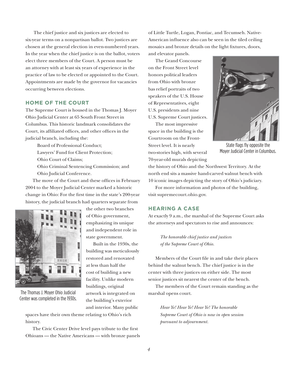The chief justice and six justices are elected to six-year terms on a nonpartisan ballot. Two justices are chosen at the general election in even-numbered years. In the year when the chief justice is on the ballot, voters elect three members of the Court. A person must be an attorney with at least six years of experience in the practice of law to be elected or appointed to the Court. Appointments are made by the governor for vacancies occurring between elections.

# **HOME OF THE COURT**

The Supreme Court is housed in the Thomas J. Moyer Ohio Judicial Center at 65 South Front Street in Columbus. This historic landmark consolidates the Court, its affiliated offices, and other offices in the judicial branch, including the:

Board of Professional Conduct; Lawyers' Fund for Client Protection; Ohio Court of Claims; Ohio Criminal Sentencing Commission; and Ohio Judicial Conference.

The move of the Court and these offices in February 2004 to the Moyer Judicial Center marked a historic change in Ohio: For the first time in the state's 200-year history, the judicial branch had quarters separate from

> the other two branches of Ohio government, emphasizing its unique and independent role in state government.

Built in the 1930s, the building was meticulously restored and renovated at less than half the cost of building a new facility. Unlike modern buildings, original artwork is integrated on the building's exterior and interior. Many public



The Thomas J. Moyer Ohio Judicial Center was completed in the 1930s.

spaces have their own theme relating to Ohio's rich history.

The Civic Center Drive level pays tribute to the first Ohioans — the Native Americans — with bronze panels of Little Turtle, Logan, Pontiac, and Tecumseh. Native-American influence also can be seen in the tiled ceiling mosaics and bronze details on the light fixtures, doors, and elevator panels.

The Grand Concourse on the Front Street level honors political leaders from Ohio with bronze bas relief portraits of two speakers of the U.S. House of Representatives, eight U.S. presidents and nine U.S. Supreme Court justices.

The most impressive space in the building is the Courtroom on the Front-Street level. It is nearly two-stories high, with several 70-year-old murals depicting



State flags fly opposite the Moyer Judicial Center in Columbus.

the history of Ohio and the Northwest Territory. At the north end sits a massive hand-carved walnut bench with 10 iconic images depicting the story of Ohio's judiciary.

For more information and photos of the building, visit supremecourt.ohio.gov.

#### **HEARING A CASE**

At exactly 9 a.m., the marshal of the Supreme Court asks the attorneys and spectators to rise and announces:

> *The honorable chief justice and justices of the Supreme Court of Ohio.*

Members of the Court file in and take their places behind the walnut bench. The chief justice is in the center with three justices on either side. The most senior justices sit nearest the center of the bench.

The members of the Court remain standing as the marshal opens court.

> *Hear Ye! Hear Ye! Hear Ye! The honorable Supreme Court of Ohio is now in open session pursuant to adjournment.*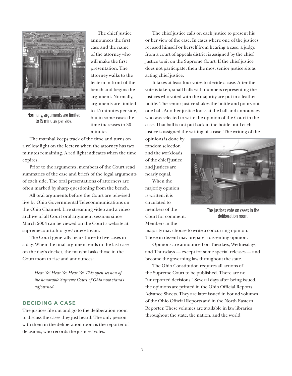

Normally, arguments are limited to 15 minutes per side.

The chief justice announces the first case and the name of the attorney who will make the first presentation. The attorney walks to the lectern in front of the bench and begins the argument. Normally, arguments are limited to 15 minutes per side, but in some cases the time increases to 30 minutes.

The marshal keeps track of the time and turns on a yellow light on the lectern when the attorney has two minutes remaining. A red light indicates when the time expires.

Prior to the arguments, members of the Court read summaries of the case and briefs of the legal arguments of each side. The oral presentations of attorneys are often marked by sharp questioning from the bench.

All oral arguments before the Court are televised live by Ohio Governmental Telecommunications on the Ohio Channel. Live streaming video and a video archive of all Court oral argument sessions since March 2004 can be viewed on the Court's website at supremecourt.ohio.gov/videostream.

The Court generally hears three to five cases in a day. When the final argument ends in the last case on the day's docket, the marshal asks those in the Courtroom to rise and announces:

> *Hear Ye! Hear Ye! Hear Ye! This open session of the honorable Supreme Court of Ohio now stands adjourned.*

# **DECIDING A CASE**

The justices file out and go to the deliberation room to discuss the cases they just heard. The only person with them in the deliberation room is the reporter of decisions, who records the justices' votes.

The chief justice calls on each justice to present his or her view of the case. In cases where one of the justices recused himself or herself from hearing a case, a judge from a court of appeals district is assigned by the chief justice to sit on the Supreme Court. If the chief justice does not participate, then the most senior justice sits as acting chief justice.

It takes at least four votes to decide a case. After the vote is taken, small balls with numbers representing the justices who voted with the majority are put in a leather bottle. The senior justice shakes the bottle and pours out one ball. Another justice looks at the ball and announces who was selected to write the opinion of the Court in the case. That ball is not put back in the bottle until each justice is assigned the writing of a case. The writing of the

opinions is done by random selection and the workloads of the chief justice and justices are nearly equal.

When the majority opinion is written, it is circulated to members of the Court for comment. Members in the



The justices vote on cases in the deliberation room.

majority may choose to write a concurring opinion. Those in dissent may prepare a dissenting opinion.

Opinions are announced on Tuesdays, Wednesdays, and Thursdays — except for some special releases — and become the governing law throughout the state.

The Ohio Constitution requires all actions of the Supreme Court to be published. There are no "unreported decisions." Several days after being issued, the opinions are printed in the Ohio Official Reports Advance Sheets. They are later issued in bound volumes of the Ohio Official Reports and in the North Eastern Reporter. These volumes are available in law libraries throughout the state, the nation, and the world.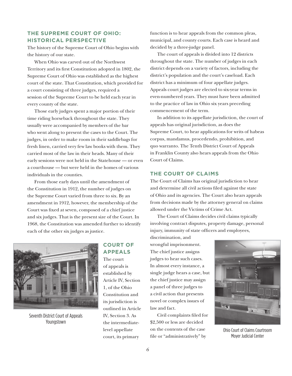# **THE SUPREME COURT OF OHIO: HISTORICAL PERSPECTIVE**

The history of the Supreme Court of Ohio begins with the history of our state.

When Ohio was carved out of the Northwest Territory and its first Constitution adopted in 1802, the Supreme Court of Ohio was established as the highest court of the state. That Constitution, which provided for a court consisting of three judges, required a session of the Supreme Court to be held each year in every county of the state.

Those early judges spent a major portion of their time riding horseback throughout the state. They usually were accompanied by members of the bar who went along to present the cases to the Court. The judges, in order to make room in their saddlebags for fresh linen, carried very few law books with them. They carried most of the law in their heads. Many of their early sessions were not held in the Statehouse — or even a courthouse — but were held in the homes of various individuals in the counties.

From those early days until the amendment of the Constitution in 1912, the number of judges on the Supreme Court varied from three to six. By an amendment in 1912, however, the membership of the Court was fixed at seven, composed of a chief justice and six judges. That is the present size of the Court. In 1968, the Constitution was amended further to identify each of the other six judges as justice.



Seventh District Court of Appeals Youngstown

# **COURT OF APPEALS**

The court of appeals is established by Article IV, Section 1, of the Ohio Constitution and its jurisdiction is outlined in Article IV, Section 3. As the intermediatelevel appellate court, its primary

function is to hear appeals from the common pleas, municipal, and county courts. Each case is heard and decided by a three-judge panel.

The court of appeals is divided into 12 districts throughout the state. The number of judges in each district depends on a variety of factors, including the district's population and the court's caseload. Each district has a minimum of four appellate judges. Appeals court judges are elected to six-year terms in even-numbered years. They must have been admitted to the practice of law in Ohio six years preceding commencement of the term.

In addition to its appellate jurisdiction, the court of appeals has original jurisdiction, as does the Supreme Court, to hear applications for writs of habeas corpus, mandamus, procedendo, prohibition, and quo warranto. The Tenth District Court of Appeals in Franklin County also hears appeals from the Ohio Court of Claims.

# **THE COURT OF CLAIMS**

The Court of Claims has original jurisdiction to hear and determine all civil actions filed against the state of Ohio and its agencies. The Court also hears appeals from decisions made by the attorney general on claims allowed under the Victims of Crime Act.

The Court of Claims decides civil claims typically involving contract disputes, property damage, personal injury, immunity of state officers and employees,

discrimination, and wrongful imprisonment. The chief justice assigns judges to hear such cases. In almost every instance, a single judge hears a case, but the chief justice may assign a panel of three judges to a civil action that presents novel or complex issues of law and fact.

Civil complaints filed for \$2,500 or less are decided on the contents of the case file or "administratively" by



Ohio Court of Claims Courtroom Moyer Judicial Center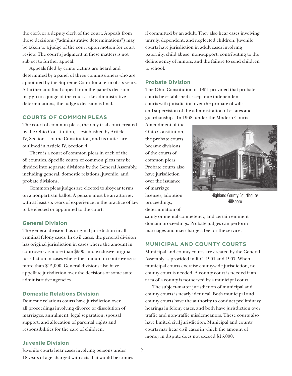the clerk or a deputy clerk of the court. Appeals from those decisions ("administrative determinations") may be taken to a judge of the court upon motion for court review. The court's judgment in these matters is not subject to further appeal.

Appeals filed by crime victims are heard and determined by a panel of three commissioners who are appointed by the Supreme Court for a term of six years. A further and final appeal from the panel's decision may go to a judge of the court. Like administrative determinations, the judge's decision is final.

# **COURTS OF COMMON PLEAS**

The court of common pleas, the only trial court created by the Ohio Constitution, is established by Article IV, Section 1, of the Constitution, and its duties are outlined in Article IV, Section 4.

There is a court of common pleas in each of the 88 counties. Specific courts of common pleas may be divided into separate divisions by the General Assembly, including general, domestic relations, juvenile, and probate divisions.

Common pleas judges are elected to six-year terms on a nonpartisan ballot. A person must be an attorney with at least six years of experience in the practice of law to be elected or appointed to the court.

# **General Division**

The general division has original jurisdiction in all criminal felony cases. In civil cases, the general division has original jurisdiction in cases where the amount in controversy is more than \$500, and exclusive original jurisdiction in cases where the amount in controversy is more than \$15,000. General divisions also have appellate jurisdiction over the decisions of some state administrative agencies.

### **Domestic Relations Division**

Domestic relations courts have jurisdiction over all proceedings involving divorce or dissolution of marriages, annulment, legal separation, spousal support, and allocation of parental rights and responsibilities for the care of children.

### **Juvenile Division**

if committed by an adult. They also hear cases involving unruly, dependent, and neglected children. Juvenile courts have jurisdiction in adult cases involving paternity, child abuse, non-support, contributing to the delinquency of minors, and the failure to send children to school.

#### **Probate Division**

The Ohio Constitution of 1851 provided that probate courts be established as separate independent courts with jurisdiction over the probate of wills and supervision of the administration of estates and guardianships. In 1968, under the Modern Courts

Amendment of the Ohio Constitution, the probate courts became divisions of the courts of common pleas. Probate courts also have jurisdiction over the issuance of marriage licenses, adoption proceedings, determination of



Highland County Courthouse Hillsboro

sanity or mental competency, and certain eminent domain proceedings. Probate judges can perform marriages and may charge a fee for the service.

### **MUNICIPAL AND COUNTY COURTS**

Municipal and county courts are created by the General Assembly as provided in R.C. 1901 and 1907. When municipal courts exercise countywide jurisdiction, no county court is needed. A county court is needed if an area of a county is not served by a municipal court.

The subject-matter jurisdiction of municipal and county courts is nearly identical. Both municipal and county courts have the authority to conduct preliminary hearings in felony cases, and both have jurisdiction over traffic and non-traffic misdemeanors. These courts also have limited civil jurisdiction. Municipal and county courts may hear civil cases in which the amount of money in dispute does not exceed \$15,000.

Juvenile courts hear cases involving persons under 18 years of age charged with acts that would be crimes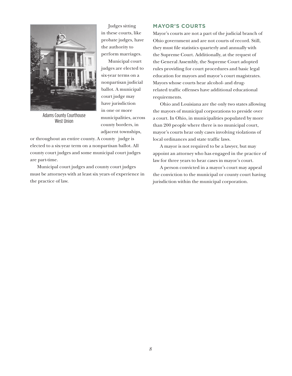

Adams County Courthouse West Union

Judges sitting in these courts, like probate judges, have the authority to perform marriages.

Municipal court judges are elected to six-year terms on a nonpartisan judicial ballot. A municipal court judge may have jurisdiction in one or more municipalities, across county borders, in adjacent townships,

or throughout an entire county. A county judge is elected to a six-year term on a nonpartisan ballot. All county court judges and some municipal court judges are part-time.

Municipal court judges and county court judges must be attorneys with at least six years of experience in the practice of law.

# **MAYOR'S COURTS**

Mayor's courts are not a part of the judicial branch of Ohio government and are not courts of record. Still, they must file statistics quarterly and annually with the Supreme Court. Additionally, at the request of the General Assembly, the Supreme Court adopted rules providing for court procedures and basic legal education for mayors and mayor's court magistrates. Mayors whose courts hear alcohol- and drugrelated traffic offenses have additional educational requirements.

Ohio and Louisiana are the only two states allowing the mayors of municipal corporations to preside over a court. In Ohio, in municipalities populated by more than 200 people where there is no municipal court, mayor's courts hear only cases involving violations of local ordinances and state traffic laws.

A mayor is not required to be a lawyer, but may appoint an attorney who has engaged in the practice of law for three years to hear cases in mayor's court.

A person convicted in a mayor's court may appeal the conviction to the municipal or county court having jurisdiction within the municipal corporation.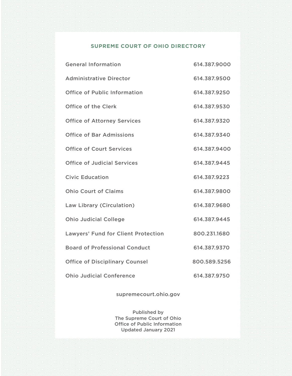# **SUPREME COURT OF OHIO DIRECTORY**

| <b>General Information</b>                 | 614,387,9000 |
|--------------------------------------------|--------------|
| <b>Administrative Director</b>             | 614.387.9500 |
| <b>Office of Public Information</b>        | 614.387.9250 |
| Office of the Clerk                        | 614.387.9530 |
| <b>Office of Attorney Services</b>         | 614.387.9320 |
| <b>Office of Bar Admissions</b>            | 614.387.9340 |
| <b>Office of Court Services</b>            | 614.387.9400 |
| <b>Office of Judicial Services</b>         | 614.387.9445 |
| <b>Civic Education</b>                     | 614.387.9223 |
| <b>Ohio Court of Claims</b>                | 614.387.9800 |
| Law Library (Circulation)                  | 614.387.9680 |
| <b>Ohio Judicial College</b>               | 614.387.9445 |
| <b>Lawyers' Fund for Client Protection</b> | 800.231.1680 |
| <b>Board of Professional Conduct</b>       | 614.387.9370 |
| <b>Office of Disciplinary Counsel</b>      | 800.589.5256 |
| <b>Ohio Judicial Conference</b>            | 614.387.9750 |

#### supremecourt.ohio.gov

Published by The Supreme Court of Ohio Office of Public Information Updated January 2021